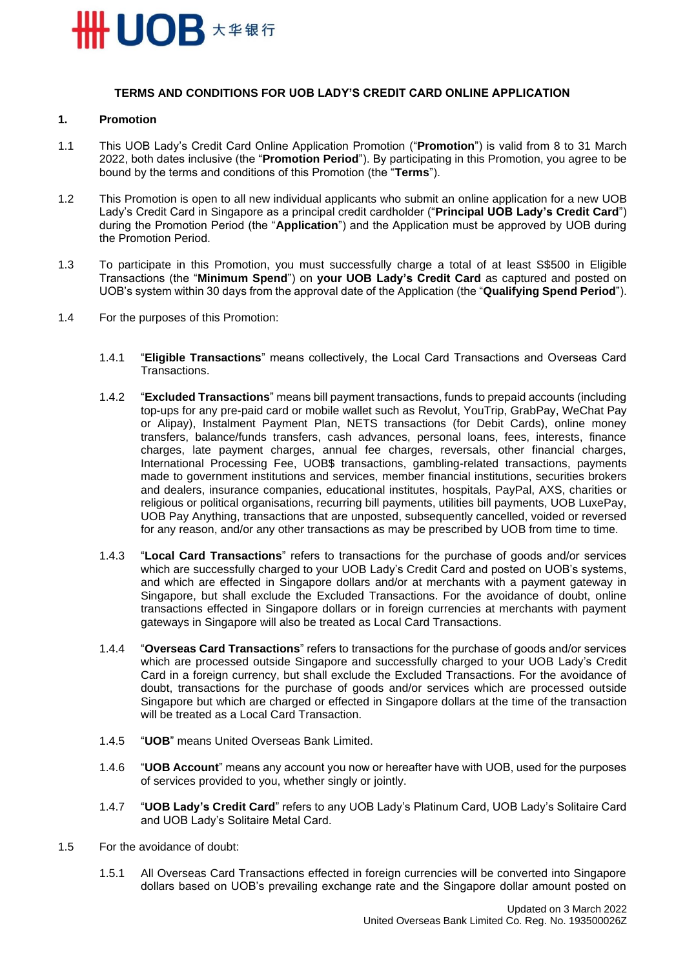

#### **TERMS AND CONDITIONS FOR UOB LADY'S CREDIT CARD ONLINE APPLICATION**

## **1. Promotion**

- 1.1 This UOB Lady's Credit Card Online Application Promotion ("**Promotion**") is valid from 8 to 31 March 2022, both dates inclusive (the "**Promotion Period**"). By participating in this Promotion, you agree to be bound by the terms and conditions of this Promotion (the "**Terms**").
- 1.2 This Promotion is open to all new individual applicants who submit an online application for a new UOB Lady's Credit Card in Singapore as a principal credit cardholder ("**Principal UOB Lady's Credit Card**") during the Promotion Period (the "**Application**") and the Application must be approved by UOB during the Promotion Period.
- 1.3 To participate in this Promotion, you must successfully charge a total of at least S\$500 in Eligible Transactions (the "**Minimum Spend**") on **your UOB Lady's Credit Card** as captured and posted on UOB's system within 30 days from the approval date of the Application (the "**Qualifying Spend Period**").
- 1.4 For the purposes of this Promotion:
	- 1.4.1 "**Eligible Transactions**" means collectively, the Local Card Transactions and Overseas Card Transactions.
	- 1.4.2 "**Excluded Transactions**" means bill payment transactions, funds to prepaid accounts (including top-ups for any pre-paid card or mobile wallet such as Revolut, YouTrip, GrabPay, WeChat Pay or Alipay), Instalment Payment Plan, NETS transactions (for Debit Cards), online money transfers, balance/funds transfers, cash advances, personal loans, fees, interests, finance charges, late payment charges, annual fee charges, reversals, other financial charges, International Processing Fee, UOB\$ transactions, gambling-related transactions, payments made to government institutions and services, member financial institutions, securities brokers and dealers, insurance companies, educational institutes, hospitals, PayPal, AXS, charities or religious or political organisations, recurring bill payments, utilities bill payments, UOB LuxePay, UOB Pay Anything, transactions that are unposted, subsequently cancelled, voided or reversed for any reason, and/or any other transactions as may be prescribed by UOB from time to time.
	- 1.4.3 "**Local Card Transactions**" refers to transactions for the purchase of goods and/or services which are successfully charged to your UOB Lady's Credit Card and posted on UOB's systems, and which are effected in Singapore dollars and/or at merchants with a payment gateway in Singapore, but shall exclude the Excluded Transactions. For the avoidance of doubt, online transactions effected in Singapore dollars or in foreign currencies at merchants with payment gateways in Singapore will also be treated as Local Card Transactions.
	- 1.4.4 "**Overseas Card Transactions**" refers to transactions for the purchase of goods and/or services which are processed outside Singapore and successfully charged to your UOB Lady's Credit Card in a foreign currency, but shall exclude the Excluded Transactions. For the avoidance of doubt, transactions for the purchase of goods and/or services which are processed outside Singapore but which are charged or effected in Singapore dollars at the time of the transaction will be treated as a Local Card Transaction.
	- 1.4.5 "**UOB**" means United Overseas Bank Limited.
	- 1.4.6 "**UOB Account**" means any account you now or hereafter have with UOB, used for the purposes of services provided to you, whether singly or jointly.
	- 1.4.7 "**UOB Lady's Credit Card**" refers to any UOB Lady's Platinum Card, UOB Lady's Solitaire Card and UOB Lady's Solitaire Metal Card.
- 1.5 For the avoidance of doubt:
	- 1.5.1 All Overseas Card Transactions effected in foreign currencies will be converted into Singapore dollars based on UOB's prevailing exchange rate and the Singapore dollar amount posted on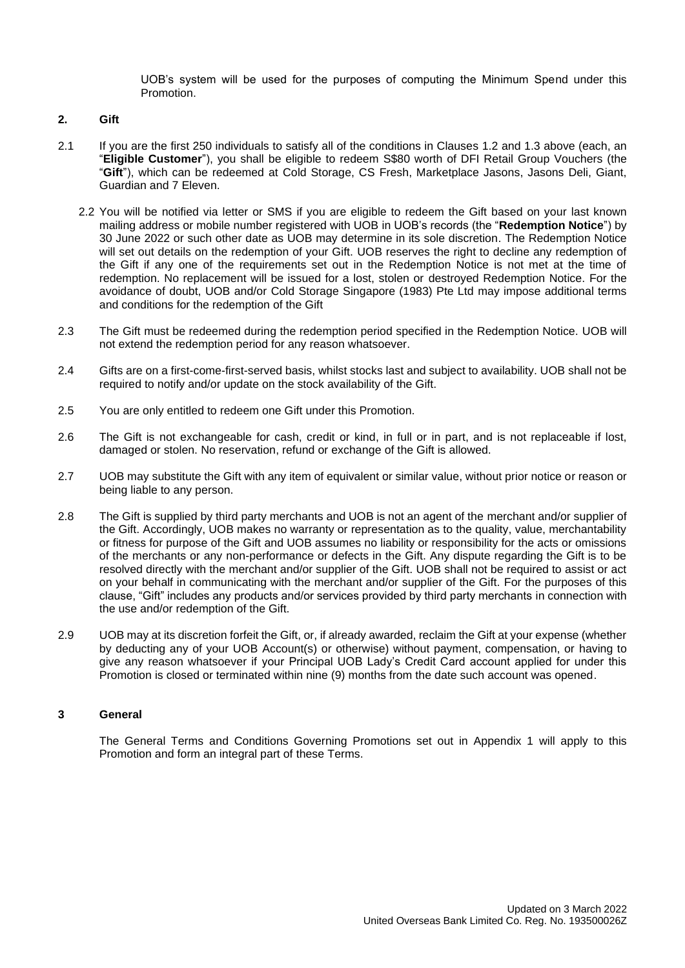UOB's system will be used for the purposes of computing the Minimum Spend under this Promotion.

### **2. Gift**

- 2.1 If you are the first 250 individuals to satisfy all of the conditions in Clauses 1.2 and 1.3 above (each, an "**Eligible Customer**"), you shall be eligible to redeem S\$80 worth of DFI Retail Group Vouchers (the "**Gift**"), which can be redeemed at Cold Storage, CS Fresh, Marketplace Jasons, Jasons Deli, Giant, Guardian and 7 Eleven.
	- 2.2 You will be notified via letter or SMS if you are eligible to redeem the Gift based on your last known mailing address or mobile number registered with UOB in UOB's records (the "**Redemption Notice**") by 30 June 2022 or such other date as UOB may determine in its sole discretion. The Redemption Notice will set out details on the redemption of your Gift. UOB reserves the right to decline any redemption of the Gift if any one of the requirements set out in the Redemption Notice is not met at the time of redemption. No replacement will be issued for a lost, stolen or destroyed Redemption Notice. For the avoidance of doubt, UOB and/or Cold Storage Singapore (1983) Pte Ltd may impose additional terms and conditions for the redemption of the Gift
- 2.3 The Gift must be redeemed during the redemption period specified in the Redemption Notice. UOB will not extend the redemption period for any reason whatsoever.
- 2.4 Gifts are on a first-come-first-served basis, whilst stocks last and subject to availability. UOB shall not be required to notify and/or update on the stock availability of the Gift.
- 2.5 You are only entitled to redeem one Gift under this Promotion.
- 2.6 The Gift is not exchangeable for cash, credit or kind, in full or in part, and is not replaceable if lost, damaged or stolen. No reservation, refund or exchange of the Gift is allowed.
- 2.7 UOB may substitute the Gift with any item of equivalent or similar value, without prior notice or reason or being liable to any person.
- 2.8 The Gift is supplied by third party merchants and UOB is not an agent of the merchant and/or supplier of the Gift. Accordingly, UOB makes no warranty or representation as to the quality, value, merchantability or fitness for purpose of the Gift and UOB assumes no liability or responsibility for the acts or omissions of the merchants or any non-performance or defects in the Gift. Any dispute regarding the Gift is to be resolved directly with the merchant and/or supplier of the Gift. UOB shall not be required to assist or act on your behalf in communicating with the merchant and/or supplier of the Gift. For the purposes of this clause, "Gift" includes any products and/or services provided by third party merchants in connection with the use and/or redemption of the Gift.
- 2.9 UOB may at its discretion forfeit the Gift, or, if already awarded, reclaim the Gift at your expense (whether by deducting any of your UOB Account(s) or otherwise) without payment, compensation, or having to give any reason whatsoever if your Principal UOB Lady's Credit Card account applied for under this Promotion is closed or terminated within nine (9) months from the date such account was opened.

## **3 General**

The General Terms and Conditions Governing Promotions set out in Appendix 1 will apply to this Promotion and form an integral part of these Terms.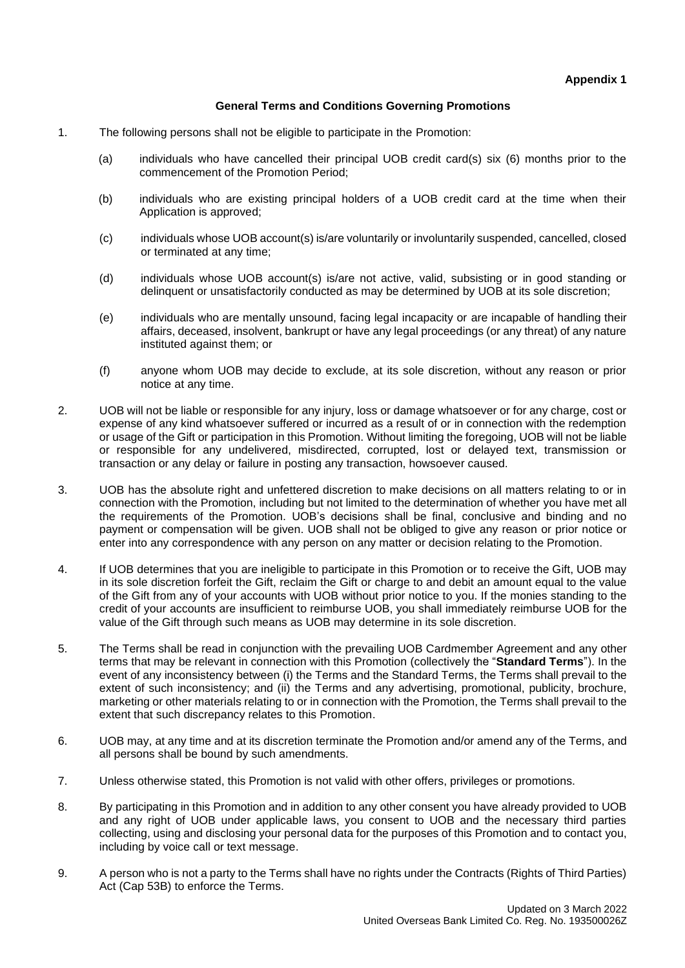# **General Terms and Conditions Governing Promotions**

- 1. The following persons shall not be eligible to participate in the Promotion:
	- (a) individuals who have cancelled their principal UOB credit card(s) six (6) months prior to the commencement of the Promotion Period;
	- (b) individuals who are existing principal holders of a UOB credit card at the time when their Application is approved;
	- (c) individuals whose UOB account(s) is/are voluntarily or involuntarily suspended, cancelled, closed or terminated at any time;
	- (d) individuals whose UOB account(s) is/are not active, valid, subsisting or in good standing or delinquent or unsatisfactorily conducted as may be determined by UOB at its sole discretion;
	- (e) individuals who are mentally unsound, facing legal incapacity or are incapable of handling their affairs, deceased, insolvent, bankrupt or have any legal proceedings (or any threat) of any nature instituted against them; or
	- (f) anyone whom UOB may decide to exclude, at its sole discretion, without any reason or prior notice at any time.
- 2. UOB will not be liable or responsible for any injury, loss or damage whatsoever or for any charge, cost or expense of any kind whatsoever suffered or incurred as a result of or in connection with the redemption or usage of the Gift or participation in this Promotion. Without limiting the foregoing, UOB will not be liable or responsible for any undelivered, misdirected, corrupted, lost or delayed text, transmission or transaction or any delay or failure in posting any transaction, howsoever caused.
- 3. UOB has the absolute right and unfettered discretion to make decisions on all matters relating to or in connection with the Promotion, including but not limited to the determination of whether you have met all the requirements of the Promotion. UOB's decisions shall be final, conclusive and binding and no payment or compensation will be given. UOB shall not be obliged to give any reason or prior notice or enter into any correspondence with any person on any matter or decision relating to the Promotion.
- 4. If UOB determines that you are ineligible to participate in this Promotion or to receive the Gift, UOB may in its sole discretion forfeit the Gift, reclaim the Gift or charge to and debit an amount equal to the value of the Gift from any of your accounts with UOB without prior notice to you. If the monies standing to the credit of your accounts are insufficient to reimburse UOB, you shall immediately reimburse UOB for the value of the Gift through such means as UOB may determine in its sole discretion.
- 5. The Terms shall be read in conjunction with the prevailing UOB Cardmember Agreement and any other terms that may be relevant in connection with this Promotion (collectively the "**Standard Terms**"). In the event of any inconsistency between (i) the Terms and the Standard Terms, the Terms shall prevail to the extent of such inconsistency; and (ii) the Terms and any advertising, promotional, publicity, brochure, marketing or other materials relating to or in connection with the Promotion, the Terms shall prevail to the extent that such discrepancy relates to this Promotion.
- 6. UOB may, at any time and at its discretion terminate the Promotion and/or amend any of the Terms, and all persons shall be bound by such amendments.
- 7. Unless otherwise stated, this Promotion is not valid with other offers, privileges or promotions.
- 8. By participating in this Promotion and in addition to any other consent you have already provided to UOB and any right of UOB under applicable laws, you consent to UOB and the necessary third parties collecting, using and disclosing your personal data for the purposes of this Promotion and to contact you, including by voice call or text message.
- 9. A person who is not a party to the Terms shall have no rights under the Contracts (Rights of Third Parties) Act (Cap 53B) to enforce the Terms.